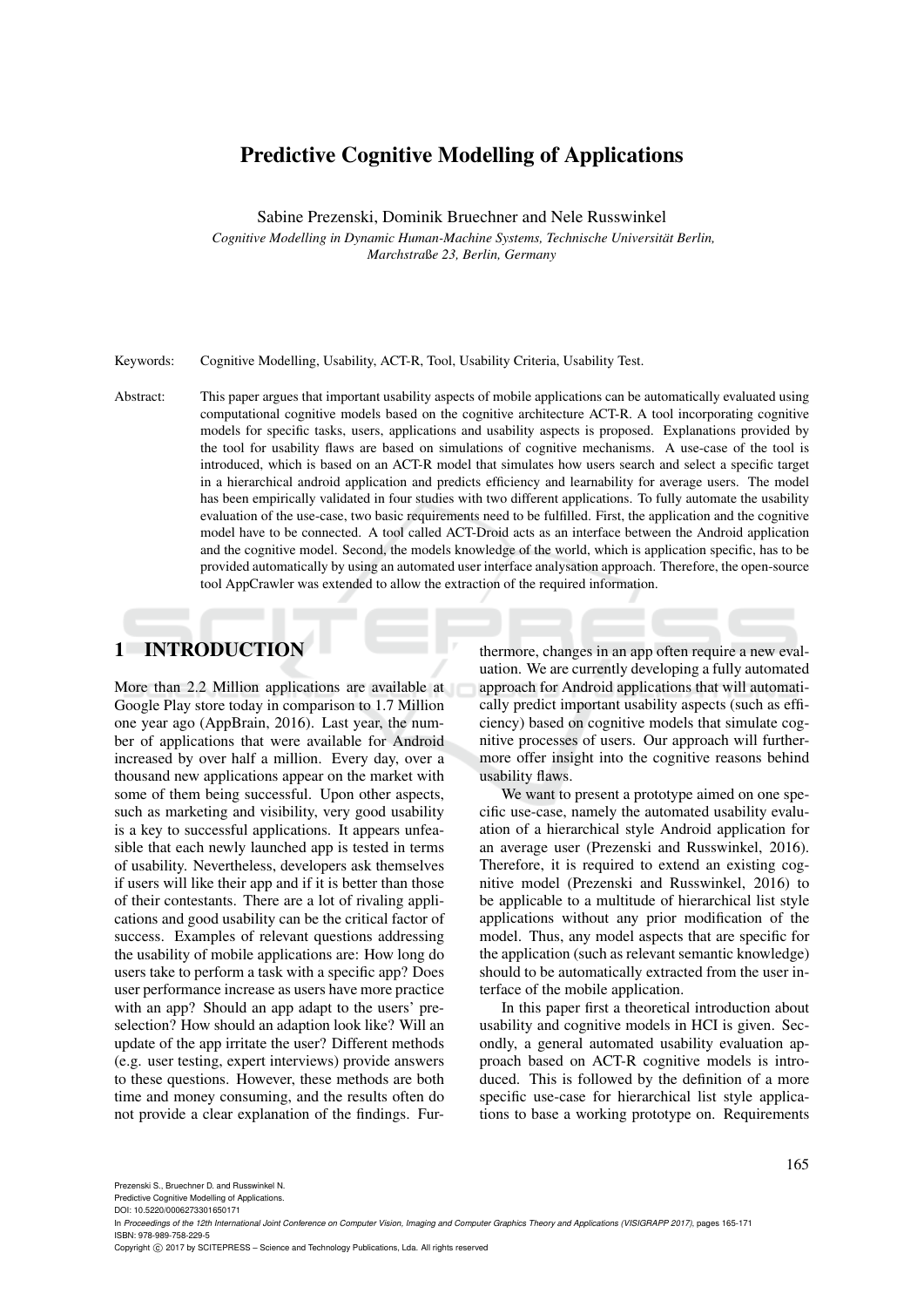# Predictive Cognitive Modelling of Applications

Sabine Prezenski, Dominik Bruechner and Nele Russwinkel

*Cognitive Modelling in Dynamic Human-Machine Systems, Technische Universitat Berlin, ¨ Marchstra*ß*e 23, Berlin, Germany*

Keywords: Cognitive Modelling, Usability, ACT-R, Tool, Usability Criteria, Usability Test.

Abstract: This paper argues that important usability aspects of mobile applications can be automatically evaluated using computational cognitive models based on the cognitive architecture ACT-R. A tool incorporating cognitive models for specific tasks, users, applications and usability aspects is proposed. Explanations provided by the tool for usability flaws are based on simulations of cognitive mechanisms. A use-case of the tool is introduced, which is based on an ACT-R model that simulates how users search and select a specific target in a hierarchical android application and predicts efficiency and learnability for average users. The model has been empirically validated in four studies with two different applications. To fully automate the usability evaluation of the use-case, two basic requirements need to be fulfilled. First, the application and the cognitive model have to be connected. A tool called ACT-Droid acts as an interface between the Android application and the cognitive model. Second, the models knowledge of the world, which is application specific, has to be provided automatically by using an automated user interface analysation approach. Therefore, the open-source tool AppCrawler was extended to allow the extraction of the required information.

# 1 INTRODUCTION

More than 2.2 Million applications are available at Google Play store today in comparison to 1.7 Million one year ago (AppBrain, 2016). Last year, the number of applications that were available for Android increased by over half a million. Every day, over a thousand new applications appear on the market with some of them being successful. Upon other aspects, such as marketing and visibility, very good usability is a key to successful applications. It appears unfeasible that each newly launched app is tested in terms of usability. Nevertheless, developers ask themselves if users will like their app and if it is better than those of their contestants. There are a lot of rivaling applications and good usability can be the critical factor of success. Examples of relevant questions addressing the usability of mobile applications are: How long do users take to perform a task with a specific app? Does user performance increase as users have more practice with an app? Should an app adapt to the users' preselection? How should an adaption look like? Will an update of the app irritate the user? Different methods (e.g. user testing, expert interviews) provide answers to these questions. However, these methods are both time and money consuming, and the results often do not provide a clear explanation of the findings. Furthermore, changes in an app often require a new evaluation. We are currently developing a fully automated approach for Android applications that will automatically predict important usability aspects (such as efficiency) based on cognitive models that simulate cognitive processes of users. Our approach will furthermore offer insight into the cognitive reasons behind usability flaws.

We want to present a prototype aimed on one specific use-case, namely the automated usability evaluation of a hierarchical style Android application for an average user (Prezenski and Russwinkel, 2016). Therefore, it is required to extend an existing cognitive model (Prezenski and Russwinkel, 2016) to be applicable to a multitude of hierarchical list style applications without any prior modification of the model. Thus, any model aspects that are specific for the application (such as relevant semantic knowledge) should to be automatically extracted from the user interface of the mobile application.

In this paper first a theoretical introduction about usability and cognitive models in HCI is given. Secondly, a general automated usability evaluation approach based on ACT-R cognitive models is introduced. This is followed by the definition of a more specific use-case for hierarchical list style applications to base a working prototype on. Requirements

Predictive Cognitive Modelling of Applications.

DOI: 10.5220/0006273301650171

Copyright (C) 2017 by SCITEPRESS - Science and Technology Publications, Lda. All rights reserved

In *Proceedings of the 12th International Joint Conference on Computer Vision, Imaging and Computer Graphics Theory and Applications (VISIGRAPP 2017)*, pages 165-171 ISBN: 978-989-758-229-5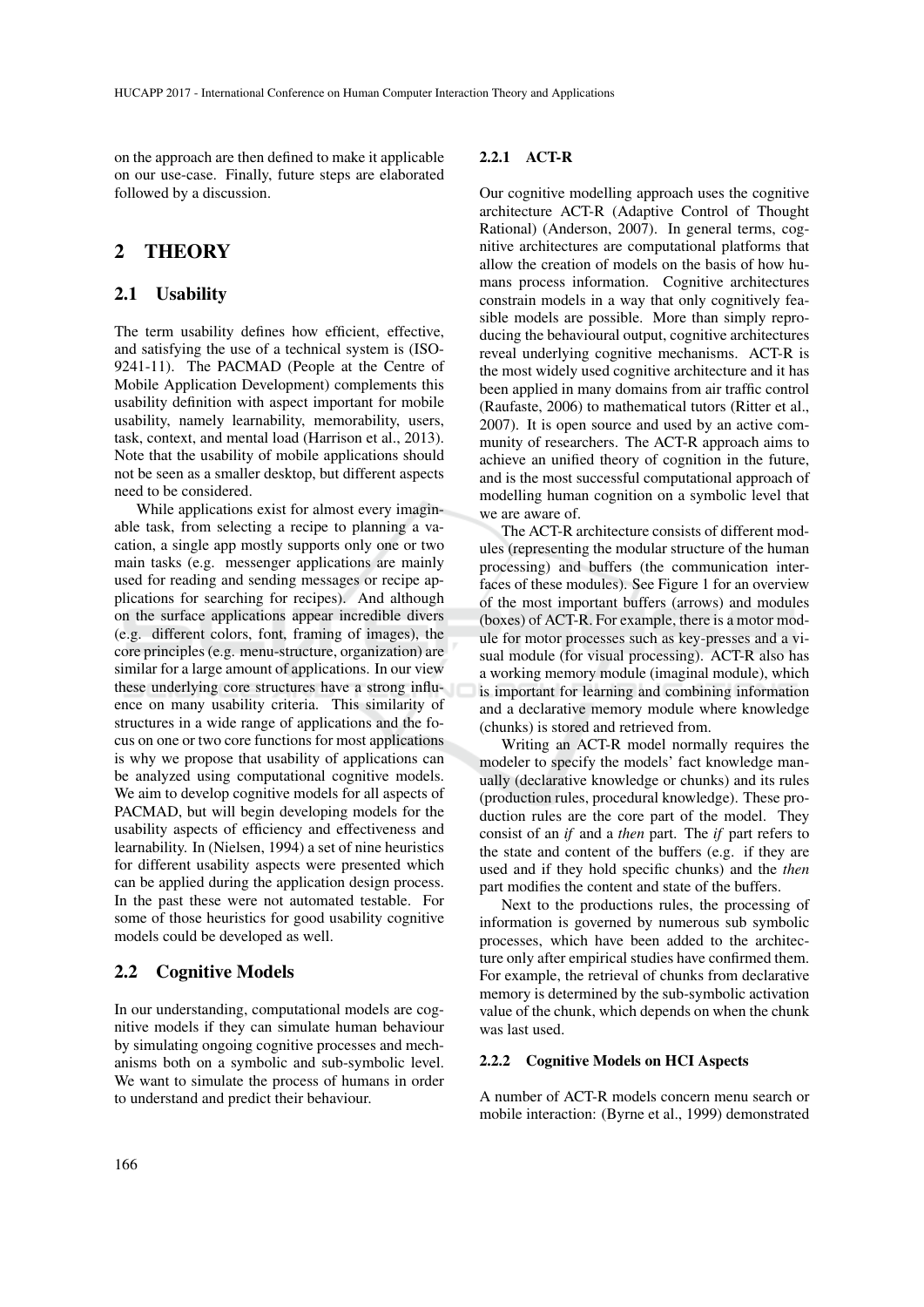on the approach are then defined to make it applicable on our use-case. Finally, future steps are elaborated followed by a discussion.

## 2 THEORY

#### 2.1 Usability

The term usability defines how efficient, effective, and satisfying the use of a technical system is (ISO-9241-11). The PACMAD (People at the Centre of Mobile Application Development) complements this usability definition with aspect important for mobile usability, namely learnability, memorability, users, task, context, and mental load (Harrison et al., 2013). Note that the usability of mobile applications should not be seen as a smaller desktop, but different aspects need to be considered.

While applications exist for almost every imaginable task, from selecting a recipe to planning a vacation, a single app mostly supports only one or two main tasks (e.g. messenger applications are mainly used for reading and sending messages or recipe applications for searching for recipes). And although on the surface applications appear incredible divers (e.g. different colors, font, framing of images), the core principles (e.g. menu-structure, organization) are similar for a large amount of applications. In our view these underlying core structures have a strong influence on many usability criteria. This similarity of structures in a wide range of applications and the focus on one or two core functions for most applications is why we propose that usability of applications can be analyzed using computational cognitive models. We aim to develop cognitive models for all aspects of PACMAD, but will begin developing models for the usability aspects of efficiency and effectiveness and learnability. In (Nielsen, 1994) a set of nine heuristics for different usability aspects were presented which can be applied during the application design process. In the past these were not automated testable. For some of those heuristics for good usability cognitive models could be developed as well.

#### 2.2 Cognitive Models

In our understanding, computational models are cognitive models if they can simulate human behaviour by simulating ongoing cognitive processes and mechanisms both on a symbolic and sub-symbolic level. We want to simulate the process of humans in order to understand and predict their behaviour.

#### 2.2.1 ACT-R

Our cognitive modelling approach uses the cognitive architecture ACT-R (Adaptive Control of Thought Rational) (Anderson, 2007). In general terms, cognitive architectures are computational platforms that allow the creation of models on the basis of how humans process information. Cognitive architectures constrain models in a way that only cognitively feasible models are possible. More than simply reproducing the behavioural output, cognitive architectures reveal underlying cognitive mechanisms. ACT-R is the most widely used cognitive architecture and it has been applied in many domains from air traffic control (Raufaste, 2006) to mathematical tutors (Ritter et al., 2007). It is open source and used by an active community of researchers. The ACT-R approach aims to achieve an unified theory of cognition in the future, and is the most successful computational approach of modelling human cognition on a symbolic level that we are aware of.

The ACT-R architecture consists of different modules (representing the modular structure of the human processing) and buffers (the communication interfaces of these modules). See Figure 1 for an overview of the most important buffers (arrows) and modules (boxes) of ACT-R. For example, there is a motor module for motor processes such as key-presses and a visual module (for visual processing). ACT-R also has a working memory module (imaginal module), which is important for learning and combining information and a declarative memory module where knowledge (chunks) is stored and retrieved from.

Writing an ACT-R model normally requires the modeler to specify the models' fact knowledge manually (declarative knowledge or chunks) and its rules (production rules, procedural knowledge). These production rules are the core part of the model. They consist of an *if* and a *then* part. The *if* part refers to the state and content of the buffers (e.g. if they are used and if they hold specific chunks) and the *then* part modifies the content and state of the buffers.

Next to the productions rules, the processing of information is governed by numerous sub symbolic processes, which have been added to the architecture only after empirical studies have confirmed them. For example, the retrieval of chunks from declarative memory is determined by the sub-symbolic activation value of the chunk, which depends on when the chunk was last used.

#### 2.2.2 Cognitive Models on HCI Aspects

A number of ACT-R models concern menu search or mobile interaction: (Byrne et al., 1999) demonstrated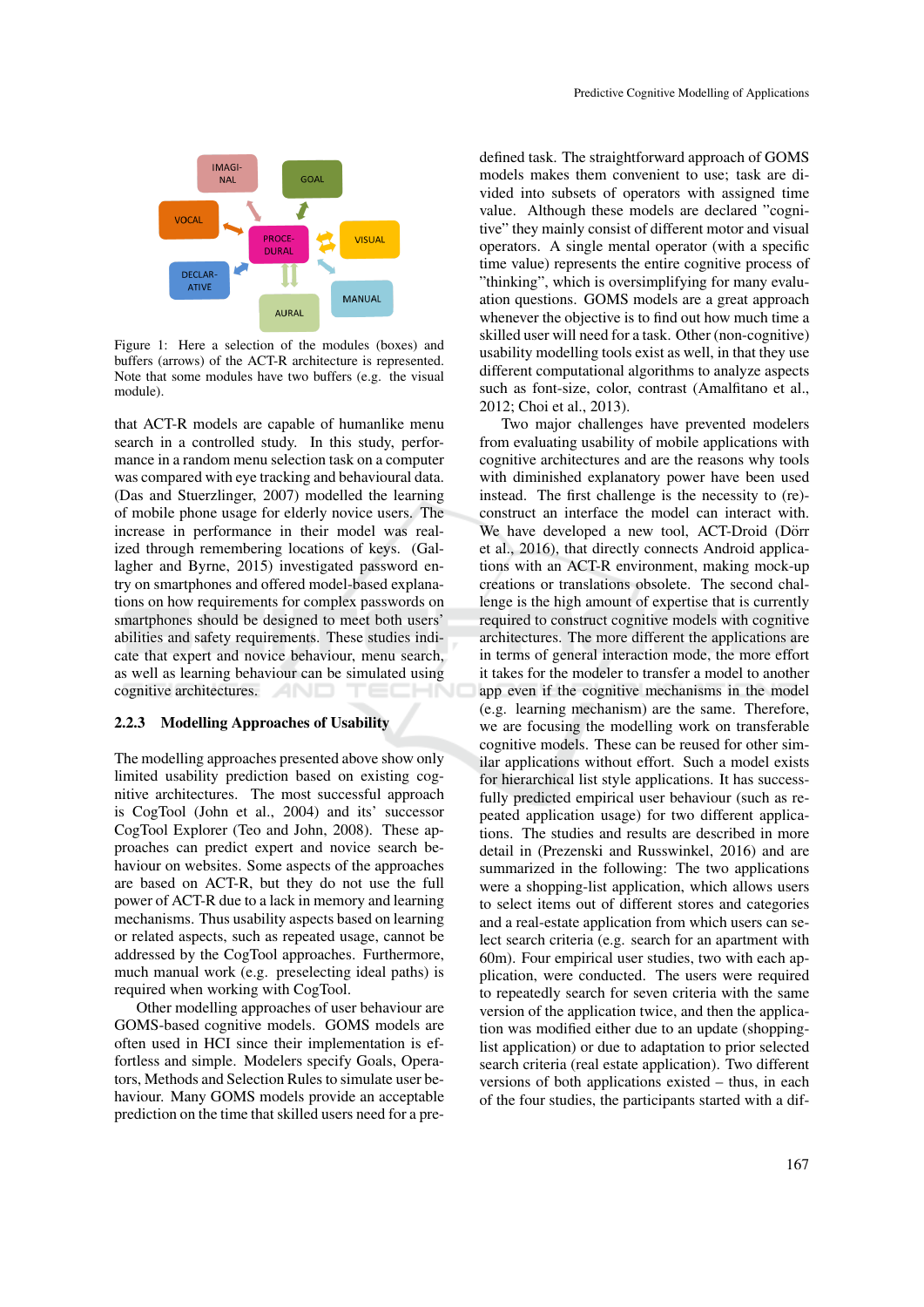

Figure 1: Here a selection of the modules (boxes) and buffers (arrows) of the ACT-R architecture is represented. Note that some modules have two buffers (e.g. the visual module).

that ACT-R models are capable of humanlike menu search in a controlled study. In this study, performance in a random menu selection task on a computer was compared with eye tracking and behavioural data. (Das and Stuerzlinger, 2007) modelled the learning of mobile phone usage for elderly novice users. The increase in performance in their model was realized through remembering locations of keys. (Gallagher and Byrne, 2015) investigated password entry on smartphones and offered model-based explanations on how requirements for complex passwords on smartphones should be designed to meet both users' abilities and safety requirements. These studies indicate that expert and novice behaviour, menu search, as well as learning behaviour can be simulated using cognitive architectures.

#### 2.2.3 Modelling Approaches of Usability

The modelling approaches presented above show only limited usability prediction based on existing cognitive architectures. The most successful approach is CogTool (John et al., 2004) and its' successor CogTool Explorer (Teo and John, 2008). These approaches can predict expert and novice search behaviour on websites. Some aspects of the approaches are based on ACT-R, but they do not use the full power of ACT-R due to a lack in memory and learning mechanisms. Thus usability aspects based on learning or related aspects, such as repeated usage, cannot be addressed by the CogTool approaches. Furthermore, much manual work (e.g. preselecting ideal paths) is required when working with CogTool.

Other modelling approaches of user behaviour are GOMS-based cognitive models. GOMS models are often used in HCI since their implementation is effortless and simple. Modelers specify Goals, Operators, Methods and Selection Rules to simulate user behaviour. Many GOMS models provide an acceptable prediction on the time that skilled users need for a predefined task. The straightforward approach of GOMS models makes them convenient to use; task are divided into subsets of operators with assigned time value. Although these models are declared "cognitive" they mainly consist of different motor and visual operators. A single mental operator (with a specific time value) represents the entire cognitive process of "thinking", which is oversimplifying for many evaluation questions. GOMS models are a great approach whenever the objective is to find out how much time a skilled user will need for a task. Other (non-cognitive) usability modelling tools exist as well, in that they use different computational algorithms to analyze aspects such as font-size, color, contrast (Amalfitano et al., 2012; Choi et al., 2013).

Two major challenges have prevented modelers from evaluating usability of mobile applications with cognitive architectures and are the reasons why tools with diminished explanatory power have been used instead. The first challenge is the necessity to (re) construct an interface the model can interact with. We have developed a new tool, ACT-Droid (Dörr et al., 2016), that directly connects Android applications with an ACT-R environment, making mock-up creations or translations obsolete. The second challenge is the high amount of expertise that is currently required to construct cognitive models with cognitive architectures. The more different the applications are in terms of general interaction mode, the more effort it takes for the modeler to transfer a model to another app even if the cognitive mechanisms in the model (e.g. learning mechanism) are the same. Therefore, we are focusing the modelling work on transferable cognitive models. These can be reused for other similar applications without effort. Such a model exists for hierarchical list style applications. It has successfully predicted empirical user behaviour (such as repeated application usage) for two different applications. The studies and results are described in more detail in (Prezenski and Russwinkel, 2016) and are summarized in the following: The two applications were a shopping-list application, which allows users to select items out of different stores and categories and a real-estate application from which users can select search criteria (e.g. search for an apartment with 60m). Four empirical user studies, two with each application, were conducted. The users were required to repeatedly search for seven criteria with the same version of the application twice, and then the application was modified either due to an update (shoppinglist application) or due to adaptation to prior selected search criteria (real estate application). Two different versions of both applications existed – thus, in each of the four studies, the participants started with a dif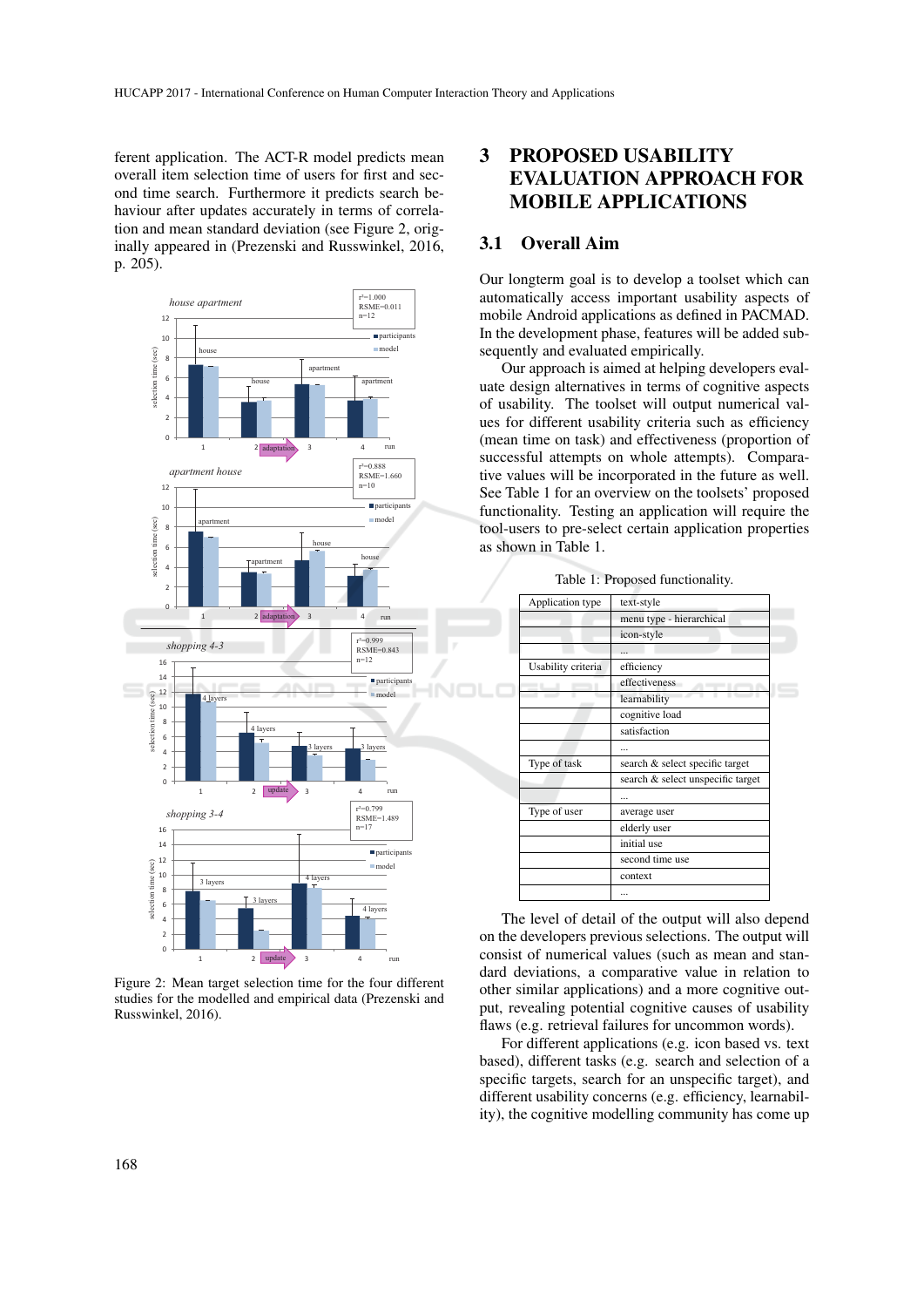ferent application. The ACT-R model predicts mean overall item selection time of users for first and second time search. Furthermore it predicts search behaviour after updates accurately in terms of correlation and mean standard deviation (see Figure 2, originally appeared in (Prezenski and Russwinkel, 2016, p. 205).



Figure 2: Mean target selection time for the four different studies for the modelled and empirical data (Prezenski and Russwinkel, 2016).

# 3 PROPOSED USABILITY EVALUATION APPROACH FOR MOBILE APPLICATIONS

## 3.1 Overall Aim

Our longterm goal is to develop a toolset which can automatically access important usability aspects of mobile Android applications as defined in PACMAD. In the development phase, features will be added subsequently and evaluated empirically.

Our approach is aimed at helping developers evaluate design alternatives in terms of cognitive aspects of usability. The toolset will output numerical values for different usability criteria such as efficiency (mean time on task) and effectiveness (proportion of successful attempts on whole attempts). Comparative values will be incorporated in the future as well. See Table 1 for an overview on the toolsets' proposed functionality. Testing an application will require the tool-users to pre-select certain application properties as shown in Table 1.

| Application type   | text-style                        |
|--------------------|-----------------------------------|
|                    | menu type - hierarchical          |
|                    | icon-style                        |
|                    | $\sim$                            |
| Usability criteria | efficiency                        |
|                    | effectiveness                     |
|                    | learnability                      |
|                    | cognitive load                    |
|                    | satisfaction                      |
|                    |                                   |
| Type of task       | search & select specific target   |
|                    | search & select unspecific target |
|                    |                                   |
| Type of user       | average user                      |
|                    | elderly user                      |
|                    | initial use                       |
|                    | second time use                   |
|                    | context                           |
|                    |                                   |
|                    |                                   |

Table 1: Proposed functionality.

The level of detail of the output will also depend on the developers previous selections. The output will consist of numerical values (such as mean and standard deviations, a comparative value in relation to other similar applications) and a more cognitive output, revealing potential cognitive causes of usability flaws (e.g. retrieval failures for uncommon words).

For different applications (e.g. icon based vs. text based), different tasks (e.g. search and selection of a specific targets, search for an unspecific target), and different usability concerns (e.g. efficiency, learnability), the cognitive modelling community has come up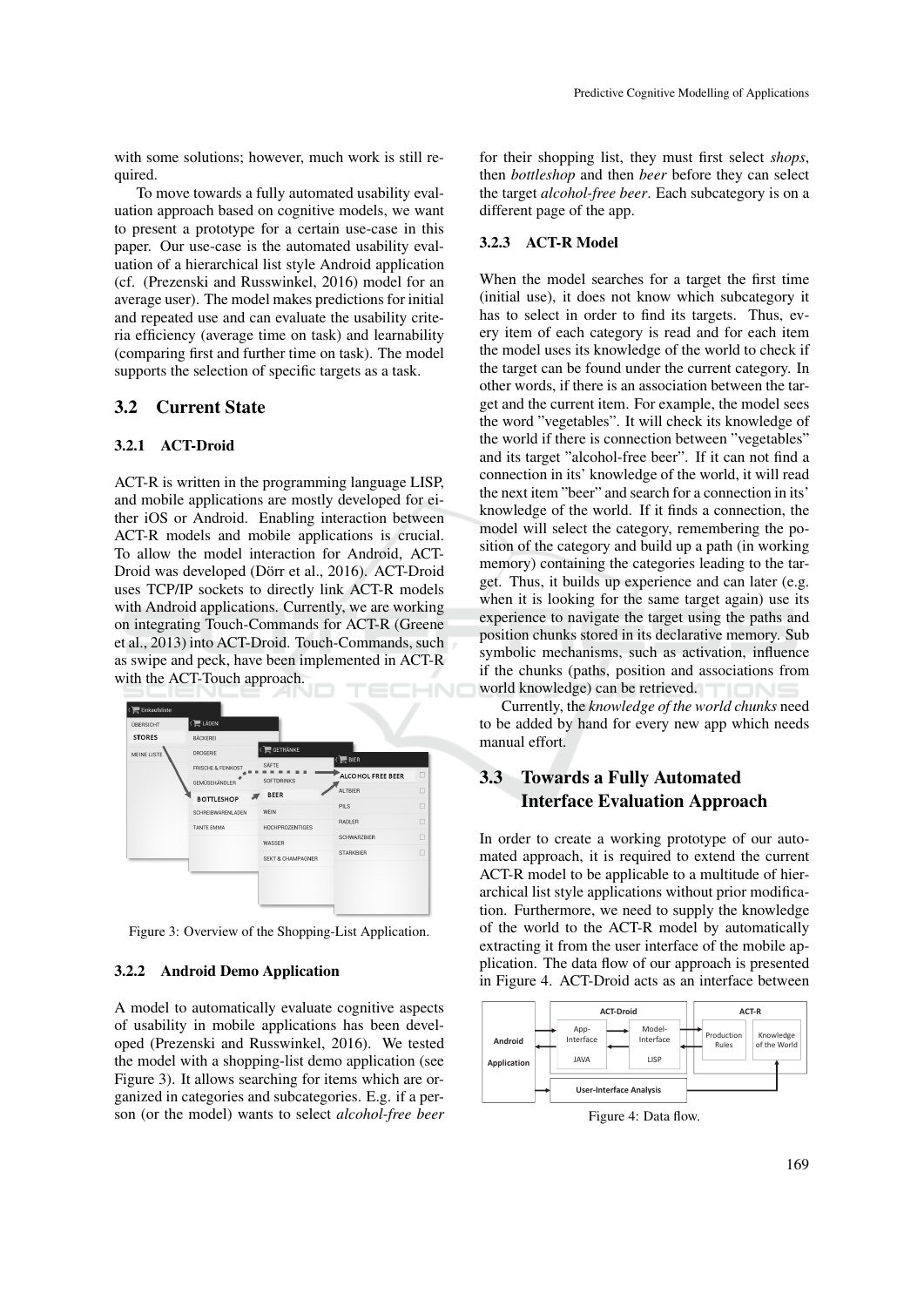with some solutions; however, much work is still required.

To move towards a fully automated usability evaluation approach based on cognitive models, we want to present a prototype for a certain use-case in this paper. Our use-case is the automated usability evaluation of a hierarchical list style Android application (cf. (Prezenski and Russwinkel, 2016) model for an average user). The model makes predictions for initial and repeated use and can evaluate the usability criteria efficiency (average time on task) and learnability (comparing first and further time on task). The model supports the selection of specific targets as a task.

### 3.2 Current State

#### 3.2.1 ACT-Droid

ACT-R is written in the programming language LISP, and mobile applications are mostly developed for either iOS or Android. Enabling interaction between ACT-R models and mobile applications is crucial. To allow the model interaction for Android, ACT-Droid was developed (Dörr et al., 2016). ACT-Droid uses TCP/IP sockets to directly link ACT-R models with Android applications. Currently, we are working on integrating Touch-Commands for ACT-R (Greene et al., 2013) into ACT-Droid. Touch-Commands, such as swipe and peck, have been implemented in ACT-R with the ACT-Touch approach.



Figure 3: Overview of the Shopping-List Application.

#### 3.2.2 Android Demo Application

A model to automatically evaluate cognitive aspects of usability in mobile applications has been developed (Prezenski and Russwinkel, 2016). We tested the model with a shopping-list demo application (see Figure 3). It allows searching for items which are organized in categories and subcategories. E.g. if a person (or the model) wants to select *alcohol-free beer*

for their shopping list, they must first select *shops*, then *bottleshop* and then *beer* before they can select the target *alcohol-free beer*. Each subcategory is on a different page of the app.

#### 3.2.3 ACT-R Model

When the model searches for a target the first time (initial use), it does not know which subcategory it has to select in order to find its targets. Thus, every item of each category is read and for each item the model uses its knowledge of the world to check if the target can be found under the current category. In other words, if there is an association between the target and the current item. For example, the model sees the word "vegetables". It will check its knowledge of the world if there is connection between "vegetables" and its target "alcohol-free beer". If it can not find a connection in its' knowledge of the world, it will read the next item "beer" and search for a connection in its' knowledge of the world. If it finds a connection, the model will select the category, remembering the position of the category and build up a path (in working memory) containing the categories leading to the target. Thus, it builds up experience and can later (e.g. when it is looking for the same target again) use its experience to navigate the target using the paths and position chunks stored in its declarative memory. Sub symbolic mechanisms, such as activation, influence if the chunks (paths, position and associations from world knowledge) can be retrieved.

Currently, the *knowledge of the world chunks* need to be added by hand for every new app which needs manual effort.

## 3.3 Towards a Fully Automated Interface Evaluation Approach

In order to create a working prototype of our automated approach, it is required to extend the current ACT-R model to be applicable to a multitude of hierarchical list style applications without prior modification. Furthermore, we need to supply the knowledge of the world to the ACT-R model by automatically extracting it from the user interface of the mobile application. The data flow of our approach is presented in Figure 4. ACT-Droid acts as an interface between



Figure 4: Data flow.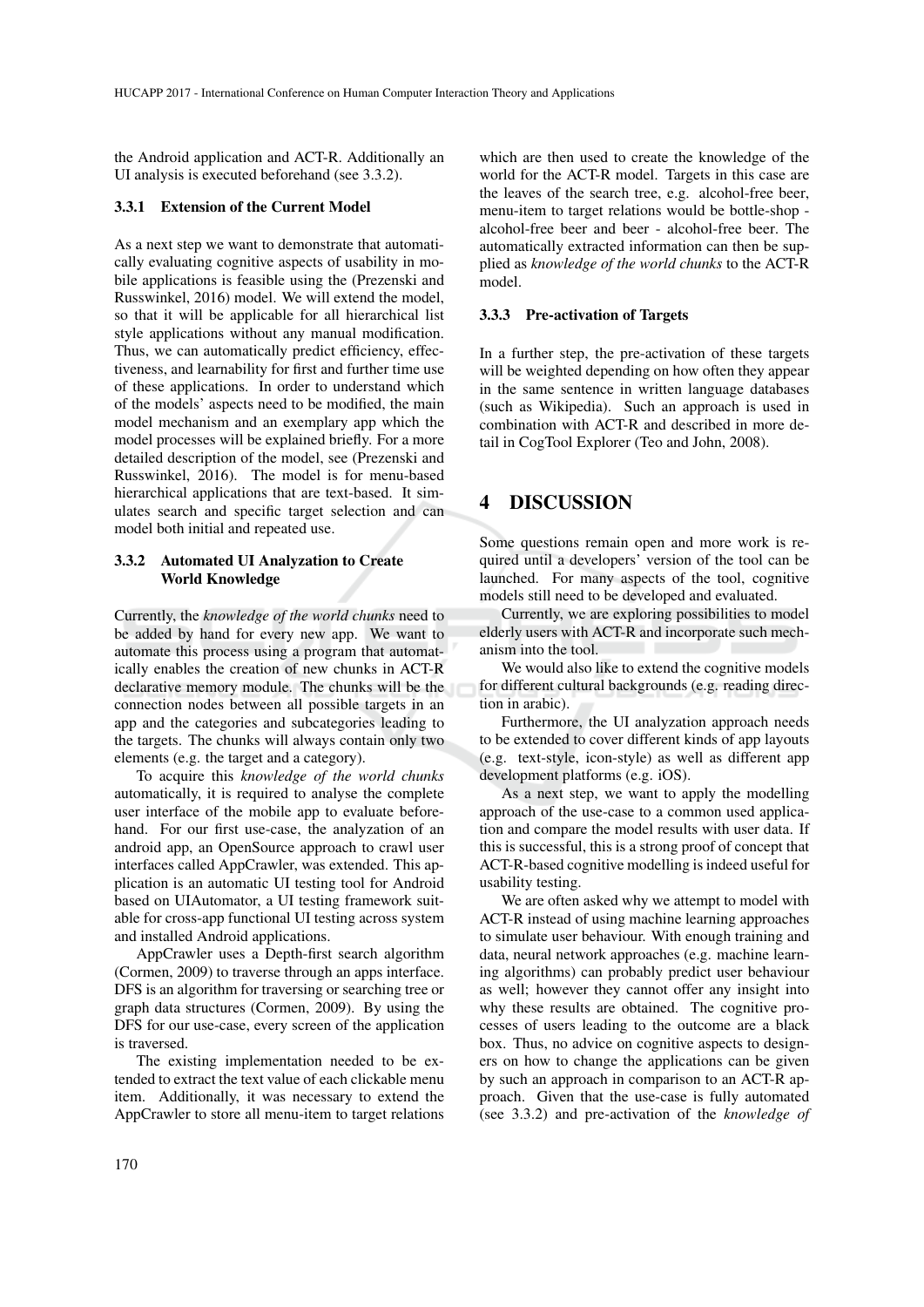the Android application and ACT-R. Additionally an UI analysis is executed beforehand (see 3.3.2).

#### 3.3.1 Extension of the Current Model

As a next step we want to demonstrate that automatically evaluating cognitive aspects of usability in mobile applications is feasible using the (Prezenski and Russwinkel, 2016) model. We will extend the model, so that it will be applicable for all hierarchical list style applications without any manual modification. Thus, we can automatically predict efficiency, effectiveness, and learnability for first and further time use of these applications. In order to understand which of the models' aspects need to be modified, the main model mechanism and an exemplary app which the model processes will be explained briefly. For a more detailed description of the model, see (Prezenski and Russwinkel, 2016). The model is for menu-based hierarchical applications that are text-based. It simulates search and specific target selection and can model both initial and repeated use.

#### 3.3.2 Automated UI Analyzation to Create World Knowledge

Currently, the *knowledge of the world chunks* need to be added by hand for every new app. We want to automate this process using a program that automatically enables the creation of new chunks in ACT-R declarative memory module. The chunks will be the connection nodes between all possible targets in an app and the categories and subcategories leading to the targets. The chunks will always contain only two elements (e.g. the target and a category).

To acquire this *knowledge of the world chunks* automatically, it is required to analyse the complete user interface of the mobile app to evaluate beforehand. For our first use-case, the analyzation of an android app, an OpenSource approach to crawl user interfaces called AppCrawler, was extended. This application is an automatic UI testing tool for Android based on UIAutomator, a UI testing framework suitable for cross-app functional UI testing across system and installed Android applications.

AppCrawler uses a Depth-first search algorithm (Cormen, 2009) to traverse through an apps interface. DFS is an algorithm for traversing or searching tree or graph data structures (Cormen, 2009). By using the DFS for our use-case, every screen of the application is traversed.

The existing implementation needed to be extended to extract the text value of each clickable menu item. Additionally, it was necessary to extend the AppCrawler to store all menu-item to target relations

which are then used to create the knowledge of the world for the ACT-R model. Targets in this case are the leaves of the search tree, e.g. alcohol-free beer, menu-item to target relations would be bottle-shop alcohol-free beer and beer - alcohol-free beer. The automatically extracted information can then be supplied as *knowledge of the world chunks* to the ACT-R model.

### 3.3.3 Pre-activation of Targets

In a further step, the pre-activation of these targets will be weighted depending on how often they appear in the same sentence in written language databases (such as Wikipedia). Such an approach is used in combination with ACT-R and described in more detail in CogTool Explorer (Teo and John, 2008).

# 4 DISCUSSION

Some questions remain open and more work is required until a developers' version of the tool can be launched. For many aspects of the tool, cognitive models still need to be developed and evaluated.

Currently, we are exploring possibilities to model elderly users with ACT-R and incorporate such mechanism into the tool.

We would also like to extend the cognitive models for different cultural backgrounds (e.g. reading direction in arabic).

Furthermore, the UI analyzation approach needs to be extended to cover different kinds of app layouts (e.g. text-style, icon-style) as well as different app development platforms (e.g. iOS).

As a next step, we want to apply the modelling approach of the use-case to a common used application and compare the model results with user data. If this is successful, this is a strong proof of concept that ACT-R-based cognitive modelling is indeed useful for usability testing.

We are often asked why we attempt to model with ACT-R instead of using machine learning approaches to simulate user behaviour. With enough training and data, neural network approaches (e.g. machine learning algorithms) can probably predict user behaviour as well; however they cannot offer any insight into why these results are obtained. The cognitive processes of users leading to the outcome are a black box. Thus, no advice on cognitive aspects to designers on how to change the applications can be given by such an approach in comparison to an ACT-R approach. Given that the use-case is fully automated (see 3.3.2) and pre-activation of the *knowledge of*